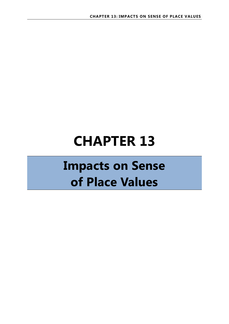# **CHAPTER 13**

## **Impacts on Sense of Place Values**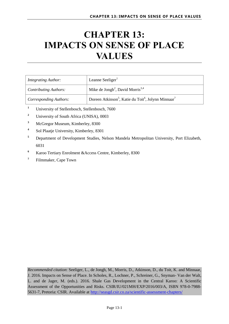## **CHAPTER 13: IMPACTS ON SENSE OF PLACE VALUES**

| <b>Integrating Author:</b>    | Leanne Seeliger <sup>1</sup>                                                            |
|-------------------------------|-----------------------------------------------------------------------------------------|
| <b>Contributing Authors:</b>  | Mike de Jongh <sup>2</sup> , David Morris <sup>3,4</sup>                                |
| <b>Corresponding Authors:</b> | Doreen Atkinson <sup>5</sup> , Katie du Toit <sup>6</sup> , Jolynn Minnaar <sup>7</sup> |

- **<sup>1</sup>** University of Stellenbosch, Stellenbosch, 7600
- <sup>2</sup> University of South Africa (UNISA), 0003
- **<sup>3</sup>** McGregor Museum, Kimberley, 8300
- **4** Sol Plaatje University, Kimberley, 8301
- **<sup>5</sup>** Department of Development Studies, Nelson Mandela Metropolitan University, Port Elizabeth, 6031
- **<sup>6</sup>** Karoo Tertiary Enrolment &Access Centre, Kimberley, 8300
- <sup>7</sup> Filmmaker, Cape Town

*Recommended citation*: Seeliger, L., de Jongh, M., Morris, D., Atkinson, D., du Toit, K. and Minnaar, J. 2016. Impacts on Sense of Place. In Scholes, R., Lochner, P., Schreiner, G., Snyman- Van der Walt, L. and de Jager, M. (eds.). 2016. Shale Gas Development in the Central Karoo: A Scientific Assessment of the Opportunities and Risks. CSIR/IU/021MH/EXP/2016/003/A, ISBN 978-0-7988- 5631-7, Pretoria: CSIR. Available at<http://seasgd.csir.co.za/scientific-assessment-chapters/>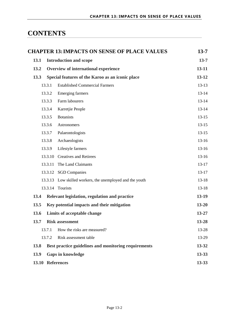### **CONTENTS**

| <b>CHAPTER 13: IMPACTS ON SENSE OF PLACE VALUES</b>                   | $13 - 7$  |  |  |  |  |
|-----------------------------------------------------------------------|-----------|--|--|--|--|
| 13.1<br><b>Introduction and scope</b>                                 | $13 - 7$  |  |  |  |  |
| 13.2<br>Overview of international experience                          | $13 - 11$ |  |  |  |  |
| 13.3<br>Special features of the Karoo as an iconic place              | $13 - 12$ |  |  |  |  |
| 13.3.1<br><b>Established Commercial Farmers</b>                       | $13-13$   |  |  |  |  |
| <b>Emerging farmers</b><br>13.3.2                                     | $13 - 14$ |  |  |  |  |
| 13.3.3<br>Farm labourers                                              | $13 - 14$ |  |  |  |  |
| Karretjie People<br>13.3.4                                            | $13 - 14$ |  |  |  |  |
| 13.3.5<br><b>Botanists</b>                                            | $13-15$   |  |  |  |  |
| 13.3.6<br><b>Astronomers</b>                                          | $13-15$   |  |  |  |  |
| 13.3.7<br>Palaeontologists                                            | $13-15$   |  |  |  |  |
| 13.3.8<br>Archaeologists                                              | $13-16$   |  |  |  |  |
| 13.3.9<br>Lifestyle farmers                                           | $13-16$   |  |  |  |  |
| 13.3.10<br><b>Creatives and Retirees</b>                              | $13-16$   |  |  |  |  |
| The Land Claimants<br>13.3.11                                         | $13-17$   |  |  |  |  |
| 13.3.12 SGD Companies                                                 | $13-17$   |  |  |  |  |
| Low skilled workers, the unemployed and the youth<br>13.3.13          | $13-18$   |  |  |  |  |
| 13.3.14 Tourists                                                      | $13 - 18$ |  |  |  |  |
| 13.4<br>Relevant legislation, regulation and practice                 | $13-19$   |  |  |  |  |
| 13.5<br>Key potential impacts and their mitigation                    | $13 - 20$ |  |  |  |  |
| 13.6<br>Limits of acceptable change                                   | $13 - 27$ |  |  |  |  |
| 13.7<br><b>Risk assessment</b>                                        | 13-28     |  |  |  |  |
| How the risks are measured?<br>13.7.1                                 | 13-28     |  |  |  |  |
| 13.7.2<br>Risk assessment table                                       | 13-29     |  |  |  |  |
| 13-32<br>13.8<br>Best practice guidelines and monitoring requirements |           |  |  |  |  |
| 13.9<br><b>Gaps in knowledge</b><br>$13 - 33$                         |           |  |  |  |  |
| 13.10 References<br>$13 - 33$                                         |           |  |  |  |  |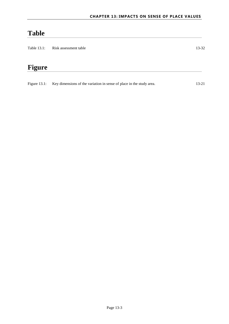## **Table**

| Table 13.1:     | 13-32                                                                |           |
|-----------------|----------------------------------------------------------------------|-----------|
|                 |                                                                      |           |
| Figure          |                                                                      |           |
| Figure $13.1$ : | Key dimensions of the variation in sense of place in the study area. | $13 - 21$ |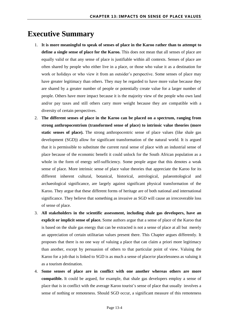### **Executive Summary**

- 1. **It is more meaningful to speak of senses of place in the Karoo rather than to attempt to define a single sense of place for the Karoo.** This does not mean that all senses of place are equally valid or that any sense of place is justifiable within all contexts. Senses of place are often shared by people who either live in a place, or those who value it as a destination for work or holidays or who view it from an outsider's perspective. Some senses of place may have greater legitimacy than others. They may be regarded to have more value because they are shared by a greater number of people or potentially create value for a larger number of people. Others have more impact because it is the majority view of the people who own land and/or pay taxes and still others carry more weight because they are compatible with a diversity of certain perspectives.
- 2. **The different senses of place in the Karoo can be placed on a spectrum, ranging from strong anthropocentrism (transformed sense of place) to intrinsic value theories (more static senses of place).** The strong anthropocentric sense of place values (like shale gas development (SGD)) allow for significant transformation of the natural world. It is argued that it is permissible to substitute the current rural sense of place with an industrial sense of place because of the economic benefit it could unlock for the South African population as a whole in the form of energy self-sufficiency. Some people argue that this denotes a weak sense of place. More intrinsic sense of place value theories that appreciate the Karoo for its different inherent cultural, botanical, historical, astrological, palaeontological and archaeological significance, are largely against significant physical transformation of the Karoo. They argue that these different forms of heritage are of both national and international significance. They believe that something as invasive as SGD will cause an irrecoverable loss of sense of place.
- 3. **All stakeholders in the scientific assessment, including shale gas developers, have an explicit or implicit sense of place.** Some authors argue that a sense of place of the Karoo that is based on the shale gas energy that can be extracted is not a sense of place at all but merely an appreciation of certain utilitarian values present there. This Chapter argues differently. It proposes that there is no one way of valuing a place that can claim a priori more legitimacy than another, except by persuasion of others to that particular point of view. Valuing the Karoo for a job that is linked to SGD is as much a sense of place/or placelessness as valuing it as a tourism destination.
- 4. **Some senses of place are in conflict with one another whereas others are more compatible.** It could be argued, for example, that shale gas developers employ a sense of place that is in conflict with the average Karoo tourist's sense of place that usually involves a sense of nothing or remoteness. Should SGD occur, a significant measure of this remoteness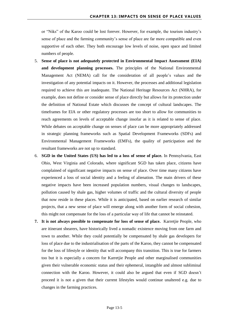or "Niks" of the Karoo could be lost forever. However, for example, the tourism industry's sense of place and the farming community's sense of place are far more compatible and even supportive of each other. They both encourage low levels of noise, open space and limited numbers of people.

- 5. **Sense of place is not adequately protected in Environmental Impact Assessment (EIA) and development planning processes.** The principles of the National Environmental Management Act (NEMA) call for the consideration of all people's values and the investigation of any potential impacts on it. However, the processes and additional legislation required to achieve this are inadequate. The National Heritage Resources Act (NHRA), for example, does not define or consider sense of place directly but allows for its protection under the definition of National Estate which discusses the concept of cultural landscapes. The timeframes for EIA or other regulatory processes are too short to allow for communities to reach agreements on levels of acceptable change insofar as it is related to sense of place. While debates on acceptable change on senses of place can be more appropriately addressed in strategic planning frameworks such as Spatial Development Frameworks (SDFs) and Environmental Management Frameworks (EMFs), the quality of participation and the resultant frameworks are not up to standard.
- 6. **SGD in the United States (US) has led to a loss of sense of place.** In Pennsylvania, East Ohio, West Virginia and Colorado, where significant SGD has taken place, citizens have complained of significant negative impacts on sense of place. Over time many citizens have experienced a loss of social identity and a feeling of alienation. The main drivers of these negative impacts have been increased population numbers, visual changes to landscapes, pollution caused by shale gas, higher volumes of traffic and the cultural diversity of people that now reside in these places. While it is anticipated, based on earlier research of similar projects, that a new sense of place will emerge along with another form of social cohesion, this might not compensate for the loss of a particular way of life that cannot be reinstated.
- **7. It is not always possible to compensate for loss of sense of place.** Karretjie People, who are itinerant shearers, have historically lived a nomadic existence moving from one farm and town to another. While they could potentially be compensated by shale gas developers for loss of place due to the industrialisation of the parts of the Karoo, they cannot be compensated for the loss of lifestyle or identity that will accompany this transition. This is true for farmers too but it is especially a concern for Karretjie People and other marginalised communities given their vulnerable economic status and their ephemeral, intangible and almost subliminal connection with the Karoo. However, it could also be argued that even if SGD doesn't proceed it is not a given that their current lifestyles would continue unaltered e.g. due to changes in the farming practices.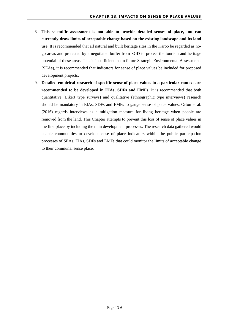- 8. **This scientific assessment is not able to provide detailed senses of place, but can currently draw limits of acceptable change based on the existing landscape and its land use**. It is recommended that all natural and built heritage sites in the Karoo be regarded as nogo areas and protected by a negotiated buffer from SGD to protect the tourism and heritage potential of these areas. This is insufficient, so in future Strategic Environmental Assessments (SEAs), it is recommended that indicators for sense of place values be included for proposed development projects.
- 9. **Detailed empirical research of specific sense of place values in a particular context are recommended to be developed in EIAs, SDFs and EMFs**. It is recommended that both quantitative (Likert type surveys) and qualitative (ethnographic type interviews) research should be mandatory in EIAs, SDFs and EMFs to gauge sense of place values. Orton et al. (2016) regards interviews as a mitigation measure for living heritage when people are removed from the land. This Chapter attempts to prevent this loss of sense of place values in the first place by including the m in development processes. The research data gathered would enable communities to develop sense of place indicators within the public participation processes of SEAs, EIAs, SDFs and EMFs that could monitor the limits of acceptable change to their communal sense place.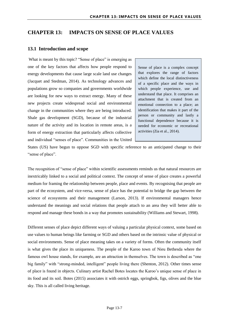#### <span id="page-7-0"></span>**CHAPTER 13: IMPACTS ON SENSE OF PLACE VALUES**

#### <span id="page-7-1"></span>**13.1 Introduction and scope**

What is meant by this topic? "Sense of place" is emerging as one of the key factors that affects how people respond to energy developments that cause large scale land use changes (Jacquet and Stedman, 2014). As technology advances and populations grow so companies and governments worldwide are looking for new ways to extract energy. Many of these new projects create widespread social and environmental change in the communities where they are being introduced. Shale gas development (SGD), because of the industrial nature of the activity and its location in remote areas, is a form of energy extraction that particularly affects collective and individual "senses of place". Communities in the United

Sense of place is a complex concept that explores the range of factors which define the local distinctiveness of a specific place and the ways in which people experience, use and understand that place. It comprises an attachment that is created from an emotional connection to a place; an identification that makes it part of the person or community and lastly a functional dependence because it is needed for economic or recreational activities (Zia et al., 2014).

States (US) have begun to oppose SGD with specific reference to an anticipated change to their "sense of place".

The recognition of "sense of place" within scientific assessments reminds us that natural resources are inextricably linked to a social and political context. The concept of sense of place creates a powerful medium for framing the relationship between people, place and events. By recognising that people are part of the ecosystem, and vice-versa, sense of place has the potential to bridge the gap between the science of ecosystems and their management (Larson, 2013). If environmental managers hence understand the meanings and social relations that people attach to an area they will better able to respond and manage these bonds in a way that promotes sustainability (Williams and Stewart, 1998).

Different senses of place depict different ways of valuing a particular physical context, some based on use values to human beings like farming or SGD and others based on the intrinsic value of physical or social environments. Sense of place meaning takes on a variety of forms. Often the community itself is what gives the place its uniqueness. The people of the Karoo town of Nieu Bethesda where the famous owl house stands, for example, are an attraction in themselves. The town is described as "one big family" with "strong-minded, intelligent" people living there (Shenton, 2012). Other times sense of place is found in objects. Culinary artist Rachel Botes locates the Karoo's unique sense of place in its food and its soil. Botes (2015) associates it with ostrich eggs, springbok, figs, olives and the blue sky. This is all called living heritage.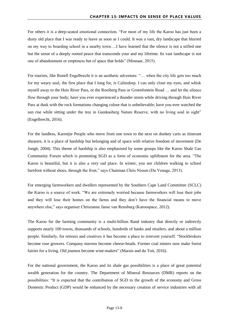For others it is a deep-seated emotional connection. "For most of my life the Karoo has just been a dusty old place that I was ready to leave as soon as I could. It was a vast, dry landscape that blurred on my way to boarding school in a nearby town….I have learned that the silence is not a stifled one but the sense of a deeply rooted peace that transcends your and my lifetime. Its vast landscape is not one of abandonment or emptiness but of space that holds" (Minnaar, 2015).

For tourists, like Ronell Engelbrecht it is an aesthetic adventure. "… when the city life gets too much for my weary soul, the first place that I long for, is Calitzdorp. I can only close my eyes, and whisk myself away to the Huis River Pass, or the Rooiberg Pass or Groenfontein Road … and let the silence flow through your body; have you ever experienced a thunder storm while driving through Huis River Pass at dusk with the rock formations changing colour that is unbelievable; have you ever watched the sun rise while sitting under the tree in Gamkasberg Nature Reserve, with no living soul in sight" (Engelbrecht, 2016).

For the landless, Karretjie People who move from one town to the next on donkey carts as itinerant shearers, it is a place of hardship but belonging and of space with relative freedom of movement (De Jongh, 2004). This theme of hardship is also emphasised by some groups like the Karoo Shale Gas Community Forum which is promoting SGD as a form of economic upliftment for the area. "The Karoo is beautiful, but it is also a very sad place. In winter, you see children walking to school barefoot without shoes, through the frost," says Chairman Chris Nissen (Du Venage, 2013).

For emerging farmworkers and dwellers represented by the Southern Cape Land Committee (SCLC) the Karoo is a source of work. "We are extremely worried because farmworkers will lose their jobs and they will lose their homes on the farms and they don't have the financial means to move anywhere else," says organiser Chriszanne Janse van Rensburg (Karoospace, 2012).

The Karoo for the farming community is a multi-billion Rand industry that directly or indirectly supports nearly 100 towns, thousands of schools, hundreds of banks and retailers, and about a million people. Similarly, for retirees and creatives it has become a place to reinvent yourself. "Stockbrokers become rose growers. Company mavens become cheese-heads. Former coal miners now make forest fairies for a living. Old journos become wine-makers" (Marais and du Toit, 2016).

For the national government, the Karoo and its shale gas possibilities is a place of great potential wealth generation for the country. The Department of Mineral Resources (DMR) reports on the possibilities: "It is expected that the contribution of SGD to the growth of the economy and Gross Domestic Product (GDP) would be enhanced by the necessary creation of service industries with all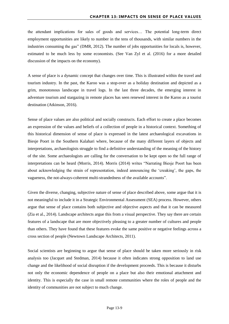the attendant implications for sales of goods and services… The potential long-term direct employment opportunities are likely to number in the tens of thousands, with similar numbers in the industries consuming the gas" (DMR, 2012). The number of jobs opportunities for locals is, however, estimated to be much less by some economists. (See Van Zyl et al. (2016) for a more detailed discussion of the impacts on the economy).

A sense of place is a dynamic concept that changes over time. This is illustrated within the travel and tourism industry. In the past, the Karoo was a stop-over as a holiday destination and depicted as a grim, monotonous landscape in travel logs. In the last three decades, the emerging interest in adventure tourism and stargazing in remote places has seen renewed interest in the Karoo as a tourist destination (Atkinson, 2016).

Sense of place values are also political and socially constructs. Each effort to create a place becomes an expression of the values and beliefs of a collection of people in a historical context. Something of this historical dimension of sense of place is expressed in the latest archaeological excavations in Biesje Poort in the Southern Kalahari where, because of the many different layers of objects and interpretations, archaeologists struggle to find a definitive understanding of the meaning of the history of the site. Some archaeologists are calling for the conversation to be kept open so the full range of interpretations can be heard (Morris, 2014). Morris (2014) writes "Narrating Biesje Poort has been about acknowledging the strain of representation, indeed announcing the 'creaking', the gaps, the vagueness, the not-always-coherent multi-strandedness of the available accounts".

Given the diverse, changing, subjective nature of sense of place described above, some argue that it is not meaningful to include it in a Strategic Environmental Assessment (SEA) process. However, others argue that sense of place contains both subjective and objective aspects and that it can be measured (Zia et al., 2014). Landscape architects argue this from a visual perspective. They say there are certain features of a landscape that are more objectively pleasing to a greater number of cultures and people than others. They have found that these features evoke the same positive or negative feelings across a cross section of people (Newtown Landscape Architects, 2011).

Social scientists are beginning to argue that sense of place should be taken more seriously in risk analysis too (Jacquet and Stedman, 2014) because it often indicates strong opposition to land use change and the likelihood of social disruption if the development proceeds. This is because it disturbs not only the economic dependence of people on a place but also their emotional attachment and identity. This is especially the case in small remote communities where the roles of people and the identity of communities are not subject to much change.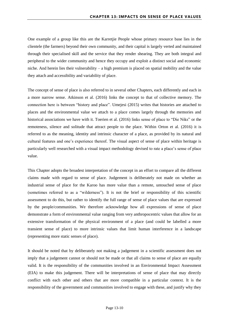One example of a group like this are the Karretjie People whose primary resource base lies in the clientele (the farmers) beyond their own community, and their capital is largely verted and maintained through their specialised skill and the service that they render shearing. They are both integral and peripheral to the wider community and hence they occupy and exploit a distinct social and economic niche. And herein lies their vulnerability – a high premium is placed on spatial mobility and the value they attach and accessibility and variability of place.

The concept of sense of place is also referred to in several other Chapters, each differently and each in a more narrow sense. Atkinson et al. (2016) links the concept to that of collective memory. The connection here is between "history and place". Umejesi (2015) writes that histories are attached to places and the environmental value we attach to a place comes largely through the memories and historical associations we have with it. Toerien et al. (2016) links sense of place to "Die Niks" or the remoteness, silence and solitude that attract people to the place. Within Orton et al. (2016) it is referred to as the meaning, identity and intrinsic character of a place, as provided by its natural and cultural features and one's experience thereof. The visual aspect of sense of place within heritage is particularly well researched with a visual impact methodology devised to rate a place's sense of place value.

This Chapter adopts the broadest interpretation of the concept in an effort to compare all the different claims made with regard to sense of place. Judgement is deliberately not made on whether an industrial sense of place for the Karoo has more value than a remote, untouched sense of place (sometimes referred to as a "wilderness"). It is not the brief or responsibility of this scientific assessment to do this, but rather to identify the full range of sense of place values that are expressed by the people/communities. We therefore acknowledge how all expressions of sense of place demonstrate a form of environmental value ranging from very anthropocentric values that allow for an extensive transformation of the physical environment of a place (and could be labelled a more transient sense of place) to more intrinsic values that limit human interference in a landscape (representing more static senses of place).

It should be noted that by deliberately not making a judgement in a scientific assessment does not imply that a judgement cannot or should not be made or that all claims to sense of place are equally valid. It is the responsibility of the communities involved in an Environmental Impact Assessment (EIA) to make this judgement. There will be interpretations of sense of place that may directly conflict with each other and others that are more compatible in a particular context. It is the responsibility of the government and communities involved to engage with these, and justify why they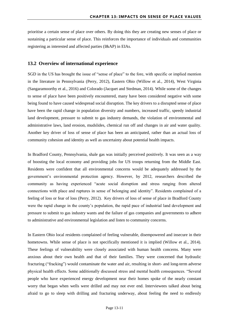prioritise a certain sense of place over others. By doing this they are creating new senses of place or sustaining a particular sense of place. This reinforces the importance of individuals and communities registering as interested and affected parties (I&AP) in EIAs.

#### <span id="page-11-0"></span>**13.2 Overview of international experience**

SGD in the US has brought the issue of "sense of place" to the fore, with specific or implied mention in the literature in Pennsylvania (Perry, 2012), Eastern Ohio (Willow et al., 2014), West Virginia (Sangaramoorthy et al., 2016) and Colorado (Jacquet and Stedman, 2014). While some of the changes to sense of place have been positively encountered, many have been considered negative with some being found to have caused widespread social disruption. The key drivers to a disrupted sense of place have been the rapid change in population diversity and numbers, increased traffic, speedy industrial land development, pressure to submit to gas industry demands, the violation of environmental and administrative laws, land erosion, mudslides, chemical run off and changes in air and water quality. Another key driver of loss of sense of place has been an anticipated, rather than an actual loss of community cohesion and identity as well as uncertainty about potential health impacts.

In Bradford County, Pennsylvania, shale gas was initially perceived positively. It was seen as a way of boosting the local economy and providing jobs for US troops returning from the Middle East. Residents were confident that all environmental concerns would be adequately addressed by the government's environmental protection agency. However, by 2012, researchers described the community as having experienced "acute social disruption and stress ranging from altered connections with place and ruptures in sense of belonging and identity". Residents complained of a feeling of loss or fear of loss (Perry, 2012). Key drivers of loss of sense of place in Bradford County were the rapid change in the county's population, the rapid pace of industrial land development and pressure to submit to gas industry wants and the failure of gas companies and governments to adhere to administrative and environmental legislation and listen to community concerns.

In Eastern Ohio local residents complained of feeling vulnerable, disempowered and insecure in their hometowns. While sense of place is not specifically mentioned it is implied (Willow et al., 2014). These feelings of vulnerability were closely associated with human health concerns. Many were anxious about their own health and that of their families. They were concerned that hydraulic fracturing ("fracking") would contaminate the water and air, resulting in short- and long-term adverse physical health effects. Some additionally discussed stress and mental health consequences. "Several people who have experienced energy development near their homes spoke of the nearly constant worry that began when wells were drilled and may not ever end. Interviewees talked about being afraid to go to sleep with drilling and fracturing underway, about feeling the need to endlessly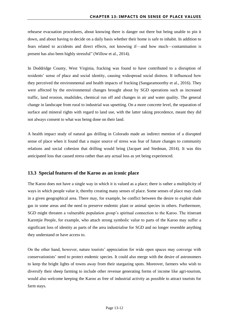rehearse evacuation procedures, about knowing there is danger out there but being unable to pin it down, and about having to decide on a daily basis whether their home is safe to inhabit. In addition to fears related to accidents and direct effects, not knowing if—and how much—contamination is present has also been highly stressful" (Willow et al., 2014).

In Doddridge County, West Virginia, fracking was found to have contributed to a disruption of residents' sense of place and social identity, causing widespread social distress. It influenced how they perceived the environmental and health impacts of fracking (Sangaramoorthy et al., 2016). They were affected by the environmental changes brought about by SGD operations such as increased traffic, land erosion, mudslides, chemical run off and changes in air and water quality. The general change in landscape from rural to industrial was upsetting. On a more concrete level, the separation of surface and mineral rights with regard to land use, with the latter taking precedence, meant they did not always consent to what was being done on their land.

A health impact study of natural gas drilling in Colorado made an indirect mention of a disrupted sense of place when it found that a major source of stress was fear of future changes to community relations and social cohesion that drilling would bring (Jacquet and Stedman, 2014). It was this anticipated loss that caused stress rather than any actual loss as yet being experienced.

#### <span id="page-12-0"></span>**13.3 Special features of the Karoo as an iconic place**

The Karoo does not have a single way in which it is valued as a place; there is rather a multiplicity of ways in which people value it, thereby creating many senses of place. Some senses of place may clash in a given geographical area. There may, for example, be conflict between the desire to exploit shale gas in some areas and the need to preserve endemic plant or animal species in others. Furthermore, SGD might threaten a vulnerable population group's spiritual connection to the Karoo. The itinerant Karretjie People, for example, who attach strong symbolic value to parts of the Karoo may suffer a significant loss of identity as parts of the area industrialise for SGD and no longer resemble anything they understand or have access to.

On the other hand, however, nature tourists' appreciation for wide open spaces may converge with conservationists' need to protect endemic species. It could also merge with the desire of astronomers to keep the bright lights of towns away from their stargazing spots. Moreover, farmers who wish to diversify their sheep farming to include other revenue generating forms of income like agri-tourism, would also welcome keeping the Karoo as free of industrial activity as possible to attract tourists for farm stays.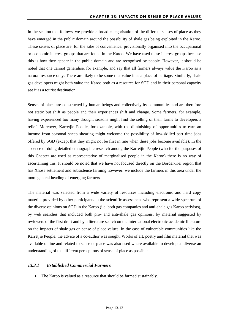In the section that follows, we provide a broad categorisation of the different senses of place as they have emerged in the public domain around the possibility of shale gas being exploited in the Karoo. These senses of place are, for the sake of convenience, provisionally organised into the occupational or economic interest groups that are found in the Karoo. We have used these interest groups because this is how they appear in the public domain and are recognised by people. However, it should be noted that one cannot generalise, for example, and say that all farmers always value the Karoo as a natural resource only. There are likely to be some that value it as a place of heritage. Similarly, shale gas developers might both value the Karoo both as a resource for SGD and in their personal capacity see it as a tourist destination.

Senses of place are constructed by human beings and collectively by communities and are therefore not static but shift as people and their experiences shift and change. Some farmers, for example, having experienced too many drought seasons might find the selling of their farms to developers a relief. Moreover, Karretjie People, for example, with the diminishing of opportunities to earn an income from seasonal sheep shearing might welcome the possibility of low-skilled part time jobs offered by SGD (except that they might not be first in line when these jobs become available). In the absence of doing detailed ethnographic research among the Karretjie People (who for the purposes of this Chapter are used as representative of marginalised people in the Karoo) there is no way of ascertaining this. It should be noted that we have not focused directly on the Border-Kei region that has Xhosa settlement and subsistence farming however; we include the farmers in this area under the more general heading of emerging farmers.

The material was selected from a wide variety of resources including electronic and hard copy material provided by other participants in the scientific assessment who represent a wide spectrum of the diverse opinions on SGD in the Karoo (i.e. both gas companies and anti-shale gas Karoo activists), by web searches that included both pro- and anti-shale gas opinions, by material suggested by reviewers of the first draft and by a literature search on the international electronic academic literature on the impacts of shale gas on sense of place values. In the case of vulnerable communities like the Karretjie People, the advice of a co-author was sought. Works of art, poetry and film material that was available online and related to sense of place was also used where available to develop as diverse an understanding of the different perceptions of sense of place as possible.

#### <span id="page-13-0"></span>*13.3.1 Established Commercial Farmers*

• The Karoo is valued as a resource that should be farmed sustainably.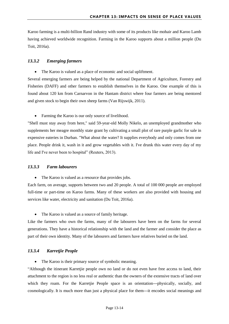Karoo farming is a multi-billion Rand industry with some of its products like mohair and Karoo Lamb having achieved worldwide recognition. Farming in the Karoo supports about a million people (Du Toit, 2016a).

#### <span id="page-14-0"></span>*13.3.2 Emerging farmers*

The Karoo is valued as a place of economic and social upliftment.

Several emerging farmers are being helped by the national Department of Agriculture, Forestry and Fisheries (DAFF) and other farmers to establish themselves in the Karoo. One example of this is found about 120 km from Carnarvon in the Hantam district where four farmers are being mentored and given stock to begin their own sheep farms (Van Rijswijk, 2011).

• Farming the Karoo is our only source of livelihood.

"Shell must stay away from here," said 59-year-old Molly Nikelo, an unemployed grandmother who supplements her meagre monthly state grant by cultivating a small plot of rare purple garlic for sale in expensive eateries in Durban. "What about the water? It supplies everybody and only comes from one place. People drink it, wash in it and grow vegetables with it. I've drunk this water every day of my life and I've never been to hospital" (Reuters, 2013).

#### <span id="page-14-1"></span>*13.3.3 Farm labourers*

The Karoo is valued as a resource that provides jobs.

Each farm, on average, supports between two and 20 people. A total of 100 000 people are employed full-time or part-time on Karoo farms. Many of these workers are also provided with housing and services like water, electricity and sanitation (Du Toit, 2016a).

• The Karoo is valued as a source of family heritage.

Like the farmers who own the farms, many of the labourers have been on the farms for several generations. They have a historical relationship with the land and the farmer and consider the place as part of their own identity. Many of the labourers and farmers have relatives buried on the land.

#### <span id="page-14-2"></span>*13.3.4 Karretjie People*

• The Karoo is their primary source of symbolic meaning.

"Although the itinerant Karretjie people own no land or do not even have free access to land, their attachment to the region is no less real or authentic than the owners of the extensive tracts of land over which they roam. For the Karretjie People space is an orientation---physically, socially, and cosmologically. It is much more than just a physical place for them---it encodes social meanings and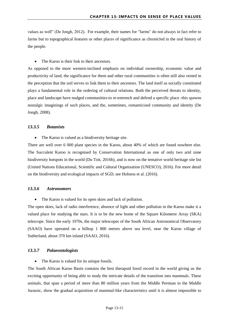values as well" (De Jongh, 2012). For example, their names for "farms" do not always in fact refer to farms but to topographical features or other places of significance as chronicled in the oral history of the people.

• The Karoo is their link to their ancestors.

As opposed to the more western-inclined emphasis on individual ownership, economic value and productivity of land, the significance for them and other rural communities is often still also vested in the perception that the soil serves to link them to their ancestors. The land itself as socially constituted plays a fundamental role in the ordering of cultural relations. Both the perceived threats to identity, place and landscape have nudged communities-to re-entrench and defend a specific place -this spawns nostalgic imaginings of such places, and the, sometimes, romanticised community and identity (De Jongh, 2008).

#### <span id="page-15-0"></span>*13.3.5 Botanists*

• The Karoo is valued as a biodiversity heritage site.

There are well over 6 000 plant species in the Karoo, about 40% of which are found nowhere else. The Succulent Karoo is recognised by Conservation International as one of only two arid zone biodiversity hotspots in the world (Du Toit, 2016b), and is now on the tentative world heritage site list (United Nations Educational, Scientific and Cultural Organisation (UNESCO), 2016). For more detail on the biodiversity and ecological impacts of SGD, see Holness et al. (2016).

#### <span id="page-15-1"></span>*13.3.6 Astronomers*

• The Karoo is valued for its open skies and lack of pollution.

The open skies, lack of radio interference, absence of light and other pollution in the Karoo make it a valued place for studying the stars. It is to be the new home of the Square Kilometre Array (SKA) telescope. Since the early 1970s, the major telescopes of the South African Astronomical Observatory (SAAO) have operated on a hilltop 1 800 metres above sea level, near the Karoo village of Sutherland, about 370 km inland (SAAO, 2016).

#### <span id="page-15-2"></span>*13.3.7 Palaeontologists*

• The Karoo is valued for its unique fossils.

The South African Karoo Basin contains the best therapsid fossil record in the world giving us the exciting opportunity of being able to study the intricate details of the transition into mammals. These animals, that span a period of more than 80 million years from the Middle Permian to the Middle Jurassic, show the gradual acquisition of mammal-like characteristics until it is almost impossible to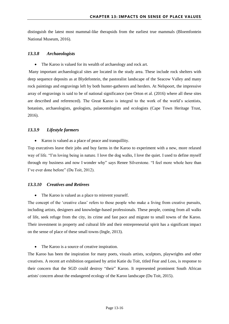distinguish the latest most mammal-like therapsids from the earliest true mammals (Bloemfontein National Museum, 2016).

#### <span id="page-16-0"></span>*13.3.8 Archaeologists*

• The Karoo is valued for its wealth of archaeology and rock art.

Many important archaeological sites are located in the study area. These include rock shelters with deep sequence deposits as at Blydefontein, the pastoralist landscape of the Seacow Valley and many rock paintings and engravings left by both hunter-gatherers and herders. At Nelspoort, the impressive array of engravings is said to be of national significance (see Orton et al. (2016) where all these sites are described and referenced). The Great Karoo is integral to the work of the world's scientists, botanists, archaeologists, geologists, palaeontologists and ecologists (Cape Town Heritage Trust, 2016).

#### <span id="page-16-1"></span>*13.3.9 Lifestyle farmers*

Karoo is valued as a place of peace and tranquillity.

Top executives leave their jobs and buy farms in the Karoo to experiment with a new, more relaxed way of life. "I'm loving being in nature. I love the dog walks, I love the quiet. I used to define myself through my business and now I wonder why" says Renee Silverstone. "I feel more whole here than I've ever done before" (Du Toit, 2012).

#### <span id="page-16-2"></span>*13.3.10 Creatives and Retirees*

• The Karoo is valued as a place to reinvent yourself.

The concept of the 'creative class' refers to those people who make a living from creative pursuits, including artists, designers and knowledge-based professionals. These people, coming from all walks of life, seek refuge from the city, its crime and fast pace and migrate to small towns of the Karoo. Their investment in property and cultural life and their entrepreneurial spirit has a significant impact on the sense of place of these small towns (Ingle, 2013).

The Karoo is a source of creative inspiration.

The Karoo has been the inspiration for many poets, visuals artists, sculptors, playwrights and other creatives. A recent art exhibition organised by artist Katie du Toit, titled Fear and Loss, is response to their concern that the SGD could destroy "their" Karoo. It represented prominent South African artists' concern about the endangered ecology of the Karoo landscape (Du Toit, 2015).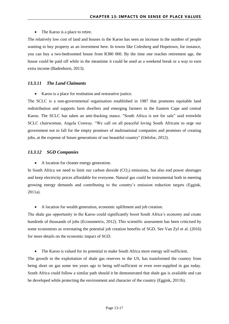• The Karoo is a place to retire.

The relatively low cost of land and houses in the Karoo has seen an increase in the number of people wanting to buy property as an investment here. In towns like Colesberg and Hopetown, for instance, you can buy a two-bedroomed house from R380 000. By the time one reaches retirement age, the house could be paid off while in the meantime it could be used as a weekend break or a way to earn extra income (Badenhorst, 2013).

#### <span id="page-17-0"></span>*13.3.11 The Land Claimants*

Karoo is a place for restitution and restorative justice.

The SCLC is a non-governmental organisation established in 1987 that promotes equitable land redistribution and supports farm dwellers and emerging farmers in the Eastern Cape and central Karoo. The SCLC has taken an anti-fracking stance. "South Africa is not for sale" said erstwhile SCLC chairwoman, Angela Conway. "We call on all peaceful loving South Africans to urge our government not to fall for the empty promises of multinational companies and promises of creating jobs, at the expense of future generations of our beautiful country" (Oelofse, 2012).

#### <span id="page-17-1"></span>*13.3.12 SGD Companies*

A location for cleaner energy generation.

In South Africa we need to limit our carbon dioxide  $(CO<sub>2</sub>)$  emissions, but also end power shortages and keep electricity prices affordable for everyone. Natural gas could be instrumental both in meeting growing energy demands and contributing to the country's emission reduction targets (Eggink, 2011a).

A location for wealth generation, economic upliftment and job creation.

The shale gas opportunity in the Karoo could significantly boost South Africa's economy and create hundreds of thousands of jobs (Econometrix, 2012). This scientific assessment has been criticised by some economists as overstating the potential job creation benefits of SGD. See Van Zyl et al. (2016) for more details on the economic impact of SGD.

The Karoo is valued for its potential to make South Africa more energy self-sufficient.

The growth in the exploitation of shale gas reserves in the US, has transformed the country from being short on gas some ten years ago to being self-sufficient or even over-supplied in gas today. South Africa could follow a similar path should it be demonstrated that shale gas is available and can be developed while protecting the environment and character of the country (Eggink, 2011b).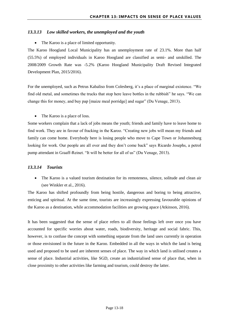#### <span id="page-18-0"></span>*13.3.13 Low skilled workers, the unemployed and the youth*

• The Karoo is a place of limited opportunity.

The Karoo Hoogland Local Municipality has an unemployment rate of 23.1%. More than half (55.5%) of employed individuals in Karoo Hoogland are classified as semi- and unskilled. The 2008/2009 Growth Rate was -5.2% (Karoo Hoogland Municipality Draft Revised Integrated Development Plan, 2015/2016).

For the unemployed, such as Petrus Kabaliso from Colesberg, it's a place of marginal existence. "We find old metal, and sometimes the trucks that stop here leave bottles in the rubbish" he says. "We can change this for money, and buy pap [maize meal porridge] and sugar" (Du Venage, 2013).

• The Karoo is a place of loss.

Some workers complain that a lack of jobs means the youth; friends and family have to leave home to find work. They are in favour of fracking in the Karoo. "Creating new jobs will mean my friends and family can come home. Everybody here is losing people who move to Cape Town or Johannesburg looking for work. Our people are all over and they don't come back" says Ricardo Josephs, a petrol pump attendant in Graaff-Reinet. "It will be better for all of us" (Du Venage, 2013).

#### <span id="page-18-1"></span>*13.3.14 Tourists*

 The Karoo is a valued tourism destination for its remoteness, silence, solitude and clean air (see Winkler et al., 2016).

The Karoo has shifted profoundly from being hostile, dangerous and boring to being attractive, enticing and spiritual. At the same time, tourists are increasingly expressing favourable opinions of the Karoo as a destination, while accommodation facilities are growing apace (Atkinson, 2016).

It has been suggested that the sense of place refers to all those feelings left over once you have accounted for specific worries about water, roads, biodiversity, heritage and social fabric. This, however, is to confuse the concept with something separate from the land uses currently in operation or those envisioned in the future in the Karoo. Embedded in all the ways in which the land is being used and proposed to be used are inherent senses of place. The way in which land is utilised creates a sense of place. Industrial activities, like SGD, create an industrialised sense of place that, when in close proximity to other activities like farming and tourism, could destroy the latter.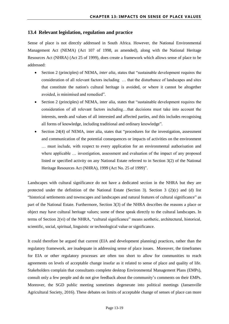#### <span id="page-19-0"></span>**13.4 Relevant legislation, regulation and practice**

Sense of place is not directly addressed in South Africa. However, the National Environmental Management Act (NEMA) (Act 107 of 1998, as amended), along with the National Heritage Resources Act (NHRA) (Act 25 of 1999), does create a framework which allows sense of place to be addressed:

- Section 2 (principles) of NEMA, *inter alia*, states that "sustainable development requires the consideration of all relevant factors including … that the disturbance of landscapes and sites that constitute the nation's cultural heritage is avoided, or where it cannot be altogether avoided, is minimised and remedied".
- Section 2 (principles) of NEMA, inter alia, states that "sustainable development requires the consideration of all relevant factors including…that decisions must take into account the interests, needs and values of all interested and affected parties, and this includes recognising all forms of knowledge, including traditional and ordinary knowledge".
- Section 24(4) of NEMA, inter alia, states that "procedures for the investigation, assessment and communication of the potential consequences or impacts of activities on the environment … must include, with respect to every application for an environmental authorisation and where applicable ... investigation, assessment and evaluation of the impact of any proposed listed or specified activity on any National Estate referred to in Section 3(2) of the National Heritage Resources Act (NHRA), 1999 (Act No. 25 of 1999)".

Landscapes with cultural significance do not have a dedicated section in the NHRA but they are protected under the definition of the National Estate (Section 3). Section 3 (2)(c) and (d) list "historical settlements and townscapes and landscapes and natural features of cultural significance" as part of the National Estate. Furthermore, Section 3(3) of the NHRA describes the reasons a place or object may have cultural heritage values; some of these speak directly to the cultural landscapes. In terms of Section 2(vi) of the NHRA, "cultural significance" means aesthetic, architectural, historical, scientific, social, spiritual, linguistic or technological value or significance.

It could therefore be argued that current (EIA and development planning) practices, rather than the regulatory framework, are inadequate in addressing sense of place issues. Moreover, the timeframes for EIA or other regulatory processes are often too short to allow for communities to reach agreements on levels of acceptable change insofar as it related to sense of place and quality of life. Stakeholders complain that consultants complete desktop Environmental Management Plans (EMPs), consult only a few people and do not give feedback about the community's comments on their EMPs. Moreover, the SGD public meeting sometimes degenerate into political meetings (Jansenville Agricultural Society, 2016). These debates on limits of acceptable change of senses of place can more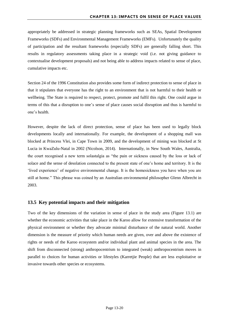appropriately be addressed in strategic planning frameworks such as SEAs, Spatial Development Frameworks (SDFs) and Environmental Management Frameworks (EMFs). Unfortunately the quality of participation and the resultant frameworks (especially SDFs) are generally falling short. This results in regulatory assessments taking place in a strategic void (i.e. not giving guidance to contextualise development proposals) and not being able to address impacts related to sense of place, cumulative impacts etc.

Section 24 of the 1996 Constitution also provides some form of indirect protection to sense of place in that it stipulates that everyone has the right to an environment that is not harmful to their health or wellbeing. The State is required to respect, protect, promote and fulfil this right. One could argue in terms of this that a disruption to one's sense of place causes social disruption and thus is harmful to one's health.

However, despite the lack of direct protection, sense of place has been used to legally block developments locally and internationally. For example, the development of a shopping mall was blocked at Princess Vlei, in Cape Town in 2009, and the development of mining was blocked at St Lucia in KwaZulu-Natal in 2002 (Nicolson, 2014). Internationally, in New South Wales, Australia, the court recognised a new term solastalgia as "the pain or sickness caused by the loss or lack of solace and the sense of desolation connected to the present state of one's home and territory. It is the 'lived experience' of negative environmental change. It is the homesickness you have when you are still at home." This phrase was coined by an Australian environmental philosopher Glenn Albrecht in 2003.

#### <span id="page-20-0"></span>**13.5 Key potential impacts and their mitigation**

Two of the key dimensions of the variation in sense of place in the study area [\(Figure 13.1\)](#page-21-0) are whether the economic activities that take place in the Karoo allow for extensive transformation of the physical environment or whether they advocate minimal disturbance of the natural world. Another dimension is the measure of priority which human needs are given, over and above the existence of rights or needs of the Karoo ecosystem and/or individual plant and animal species in the area. The shift from disconnected (strong) anthropocentrism to integrated (weak) anthropocentrism moves in parallel to choices for human activities or lifestyles (Karretjie People) that are less exploitative or invasive towards other species or ecosystems.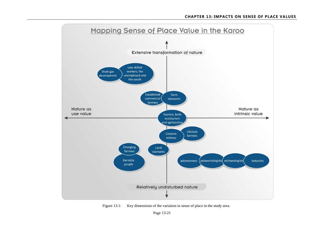

<span id="page-21-0"></span>Figure 13.1: Key dimensions of the variation in sense of place in the study area.

Page 13-21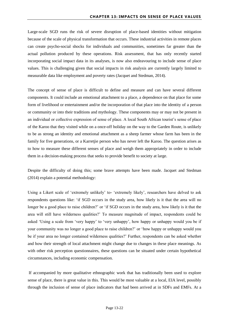Large-scale SGD runs the risk of severe disruption of place-based identities without mitigation because of the scale of physical transformation that occurs. These industrial activities in remote places can create psycho-social shocks for individuals and communities, sometimes far greater than the actual pollution produced by these operations. Risk assessment, that has only recently started incorporating social impact data in its analyses, is now also endeavouring to include sense of place values. This is challenging given that social impacts in risk analysis are currently largely limited to measurable data like employment and poverty rates (Jacquet and Stedman, 2014).

The concept of sense of place is difficult to define and measure and can have several different components. It could include an emotional attachment to a place, a dependence on that place for some form of livelihood or entertainment and/or the incorporation of that place into the identity of a person or community or into their traditions and mythology. These components may or may not be present in an individual or collective expression of sense of place. A local South African tourist's sense of place of the Karoo that they visited while on a once-off holiday on the way to the Garden Route, is unlikely to be as strong an identity and emotional attachment as a sheep farmer whose farm has been in the family for five generations, or a Karretjie person who has never left the Karoo. The question arises as to how to measure these different senses of place and weigh them appropriately in order to include them in a decision-making process that seeks to provide benefit to society at large.

Despite the difficulty of doing this; some brave attempts have been made. Jacquet and Stedman (2014) explain a potential methodology:

Using a Likert scale of 'extremely unlikely' to- 'extremely likely', researchers have delved to ask respondents questions like: 'if SGD occurs in the study area, how likely is it that the area will no longer be a good place to raise children?' or 'if SGD occurs in the study area, how likely is it that the area will still have wilderness qualities?' To measure magnitude of impact, respondents could be asked 'Using a scale from 'very happy' to 'very unhappy', how happy or unhappy would you be if your community was no longer a good place to raise children?' or 'how happy or unhappy would you be if your area no longer contained wilderness qualities?' Further, respondents can be asked whether and how their strength of local attachment might change due to changes in these place meanings. As with other risk perception questionnaires, these questions can be situated under certain hypothetical circumstances, including economic compensation.

If accompanied by more qualitative ethnographic work that has traditionally been used to explore sense of place, there is great value in this. This would be most valuable at a local, EIA level, possibly through the inclusion of sense of place indicators that had been arrived at in SDFs and EMFs. At a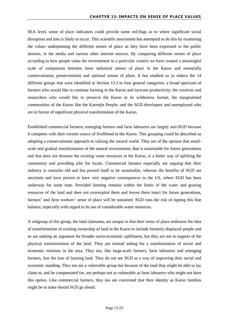SEA level, sense of place indicators could provide some red-flags as to where significant social disruption and loss is likely to occur. This scientific assessment has attempted to do this by examining the values underpinning the different senses of place as they have been expressed in the public domain, in the media and various other internet sources. By comparing different senses of place according to how people value the environment in a particular context we have created a meaningful scale of comparison between more industrial senses of place in the Karoo and essentially conservationist, preservationist and spiritual senses of place. It has enabled us to reduce the 14 different groups that were identified in Section [13.3](#page-12-0) to four general categories: a broad spectrum of farmers who would like to continue farming in the Karoo and increase productivity; the creatives and researchers who would like to preserve the Karoo in its wilderness format; the marginalised communities of the Karoo like the Karretjie People; and the SGD developers and unemployed who are in favour of significant physical transformation of the Karoo.

Established commercial farmers, emerging farmers and farm labourers are largely anti-SGD because it competes with their current source of livelihood in the Karoo. This grouping could be described as adopting a conservationist approach to valuing the natural world. They are of the opinion that smallscale and gradual transformation of the natural environment, that is sustainable for future generations and that does not threaten the existing water resources in the Karoo, is a better way of uplifting the community and providing jobs for locals. Commercial farmers especially are arguing that their industry is centuries old and has proved itself to be sustainable, whereas the benefits of SGD are uncertain and have proven to have very negative consequences in the US, where SGD has been underway for some time. Provided farming remains within the limits of the water and grazing resources of the land and does not overexploit them and leaves them intact for future generations, farmers' and farm workers' sense of place will be sustained. SGD runs the risk of tipping this fine balance, especially with regard to its use of considerable water resources.

A subgroup of this group, the land claimants, are unique in that their sense of place embraces the idea of transformation of existing ownership of land in the Karoo to include formerly displaced people and so are making an argument for broader socio-economic upliftment, but they are not in support of the physical transformation of the land. They are instead asking for a transformation of social and economic relations in the area. They too, like large-scale farmers, farm labourers and emerging farmers, fear the loss of farming land. They do not see SGD as a way of improving their social and economic standing. They too are a vulnerable group but because of the land they might be able to lay claim to, and be compensated for, are perhaps not as vulnerable as farm labourers who might not have this option. Like commercial farmers, they too are concerned that their identity as Karoo families might be at stake should SGD go ahead.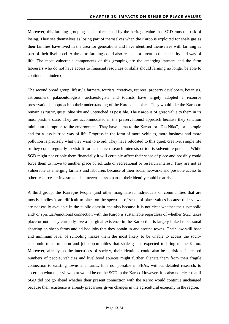Moreover, this farming grouping is also threatened by the heritage value that SGD runs the risk of losing. They see themselves as losing part of themselves when the Karoo is exploited for shale gas as their families have lived in the area for generations and have identified themselves with farming as part of their livelihood. A threat to farming could also result in a threat to their identity and way of life. The most vulnerable components of this grouping are the emerging farmers and the farm labourers who do not have access to financial resources or skills should farming no longer be able to continue unhindered.

The second broad group: lifestyle farmers, tourists, creatives, retirees, property developers, botanists, astronomers, palaeontologists, archaeologists and tourists have largely adopted a resource preservationist approach to their understanding of the Karoo as a place. They would like the Karoo to remain as rustic, quiet, blue sky and untouched as possible. The Karoo is of great value to them in its most pristine state. They are accommodated in the preservationist approach because they sanction minimum disruption to the environment. They have come to the Karoo for "Die Niks", for a simple and for a less hurried way of life. Progress in the form of more vehicles, more business and more pollution is precisely what they want to avoid. They have relocated to this quiet, creative, simple life or they come regularly to visit it for academic research interests or tourist/adventure pursuits. While SGD might not cripple them financially it will certainly affect their sense of place and possibly could force them to move to another place of solitude or recreational or research interest. They are not as vulnerable as emerging farmers and labourers because of their social networks and possible access to other resources or investments but nevertheless a part of their identity could be at risk.

A third group, the Karretjie People (and other marginalised individuals or communities that are mostly landless), are difficult to place on the spectrum of sense of place values because their views are not easily available in the public domain and also because it is not clear whether their symbolic and/ or spiritual/emotional connection with the Karoo is sustainable regardless of whether SGD takes place or not. They currently live a marginal existence in the Karoo that is largely linked to seasonal shearing on sheep farms and ad hoc jobs that they obtain in and around towns. Their low-skill base and minimum level of schooling makes them the most likely to be unable to access the socioeconomic transformation and job opportunities that shale gas is expected to bring to the Karoo. Moreover, already on the interstices of society, their identities could also be at risk as increased numbers of people, vehicles and livelihood sources might further alienate them from their fragile connection to existing towns and farms. It is not possible in SEAs, without detailed research, to ascertain what their viewpoint would be on the SGD in the Karoo. However, it is also not clear that if SGD did not go ahead whether their present connection with the Karoo would continue unchanged because their existence is already precarious given changes in the agricultural economy in the region.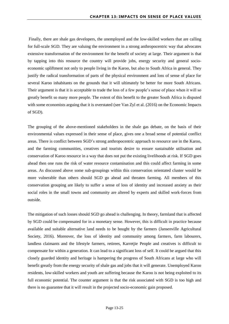Finally, there are shale gas developers, the unemployed and the low-skilled workers that are calling for full-scale SGD. They are valuing the environment in a strong anthropocentric way that advocates extensive transformation of the environment for the benefit of society at large. Their argument is that by tapping into this resource the country will provide jobs, energy security and general socioeconomic upliftment not only to people living in the Karoo, but also to South Africa in general. They justify the radical transformation of parts of the physical environment and loss of sense of place for several Karoo inhabitants on the grounds that it will ultimately be better for more South Africans. Their argument is that it is acceptable to trade the loss of a few people's sense of place when it will so greatly benefit so many more people. The extent of this benefit to the greater South Africa is disputed with some economists arguing that it is overstated (see Van Zyl et al. (2016) on the Economic Impacts of SGD).

The grouping of the above-mentioned stakeholders in the shale gas debate, on the basis of their environmental values expressed in their sense of place, gives one a broad sense of potential conflict areas. There is conflict between SGD's strong anthropocentric approach to resource use in the Karoo, and the farming communities, creatives and tourists desire to ensure sustainable utilisation and conservation of Karoo resource in a way that does not put the existing livelihoods at risk. If SGD goes ahead then one runs the risk of water resource contamination and this could affect farming in some areas. As discussed above some sub-groupings within this conservation orientated cluster would be more vulnerable than others should SGD go ahead and threaten farming. All members of this conservation grouping are likely to suffer a sense of loss of identity and increased anxiety as their social roles in the small towns and community are altered by experts and skilled work-forces from outside.

The mitigation of such losses should SGD go ahead is challenging. In theory, farmland that is affected by SGD could be compensated for in a monetary sense. However, this is difficult in practice because available and suitable alternative land needs to be bought by the farmers (Jansenville Agricultural Society, 2016). Moreover, the loss of identity and community among farmers, farm labourers, landless claimants and the lifestyle farmers, retirees, Karretjie People and creatives is difficult to compensate for within a generation. It can lead to a significant loss of self. It could be argued that this closely guarded identity and heritage is hampering the progress of South Africans at large who will benefit greatly from the energy security of shale gas and jobs that it will generate. Unemployed Karoo residents, low-skilled workers and youth are suffering because the Karoo is not being exploited to its full economic potential. The counter argument is that the risk associated with SGD is too high and there is no guarantee that it will result in the projected socio-economic gain proposed.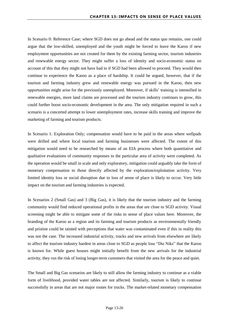In Scenario 0: Reference Case; where SGD does not go ahead and the status quo remains, one could argue that the low-skilled, unemployed and the youth might be forced to leave the Karoo if new employment opportunities are not created for them by the existing farming sector, tourism industries and renewable energy sector. They might suffer a loss of identity and socio-economic status on account of this that they might not have had to if SGD had been allowed to proceed. They would then continue to experience the Karoo as a place of hardship. It could be argued, however, that if the tourism and farming industry grew and renewable energy was pursued in the Karoo, then new opportunities might arise for the previously unemployed. Moreover, if skills' training is intensified in renewable energies, more land claims are processed and the tourism industry continues to grow, this could further boost socio-economic development in the area. The only mitigation required in such a scenario is a concerted attempt to lower unemployment rates, increase skills training and improve the marketing of farming and tourism products.

In Scenario 1: Exploration Only; compensation would have to be paid in the areas where wellpads were drilled and where local tourism and farming businesses were affected. The extent of this mitigation would need to be researched by means of an EIA process where both quantitative and qualitative evaluations of community responses to the particular area of activity were completed. As the operation would be small in scale and only exploratory, mitigation could arguably take the form of monetary compensation to those directly affected by the exploration/exploitation activity. Very limited identity loss or social disruption due to loss of sense of place is likely to occur. Very little impact on the tourism and farming industries is expected.

In Scenarios 2 (Small Gas) and 3 (Big Gas), it is likely that the tourism industry and the farming community would find reduced operational profits in the areas that are close to SGD activity. Visual screening might be able to mitigate some of the risks to sense of place values here. Moreover, the branding of the Karoo as a region and its farming and tourism products as environmentally friendly and pristine could be tainted with perceptions that water was contaminated even if this in reality this was not the case. The increased industrial activity, trucks and new arrivals from elsewhere are likely to affect the tourism industry hardest in areas close to SGD as people lose "Die Niks" that the Karoo is known for. While guest houses might initially benefit from the new arrivals for the industrial activity, they run the risk of losing longer-term customers that visited the area for the peace and quiet.

The Small and Big Gas scenarios are likely to still allow the farming industry to continue as a viable form of livelihood, provided water tables are not affected. Similarly, tourism is likely to continue successfully in areas that are not major routes for trucks. The market-related monetary compensation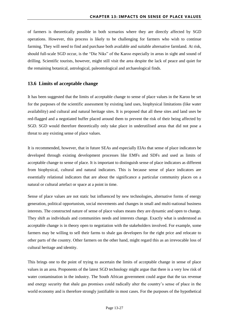of farmers is theoretically possible in both scenarios where they are directly affected by SGD operations. However, this process is likely to be challenging for farmers who wish to continue farming. They will need to find and purchase both available and suitable alternative farmland. At risk, should full-scale SGD occur, is the "Die Niks" of the Karoo especially in areas in sight and sound of drilling. Scientific tourists, however, might still visit the area despite the lack of peace and quiet for the remaining botanical, astrological, paleontological and archaeological finds.

#### <span id="page-27-0"></span>**13.6 Limits of acceptable change**

It has been suggested that the limits of acceptable change to sense of place values in the Karoo be set for the purposes of the scientific assessment by existing land uses, biophysical limitations (like water availability) and cultural and natural heritage sites. It is proposed that all these sites and land uses be red-flagged and a negotiated buffer placed around them to prevent the risk of their being affected by SGD. SGD would therefore theoretically only take place in underutilised areas that did not pose a threat to any existing sense of place values.

It is recommended, however, that in future SEAs and especially EIAs that sense of place indicators be developed through existing development processes like EMFs and SDFs and used as limits of acceptable change to sense of place. It is important to distinguish sense of place indicators as different from biophysical, cultural and natural indicators. This is because sense of place indicators are essentially relational indicators that are about the significance a particular community places on a natural or cultural artefact or space at a point in time.

Sense of place values are not static but influenced by new technologies, alternative forms of energy generation, political opportunism, social movements and changes in small and multi-national business interests. The constructed nature of sense of place values means they are dynamic and open to change. They shift as individuals and communities needs and interests change. Exactly what is understood as acceptable change is in theory open to negotiation with the stakeholders involved. For example, some farmers may be willing to sell their farms to shale gas developers for the right price and relocate to other parts of the country. Other farmers on the other hand, might regard this as an irrevocable loss of cultural heritage and identity.

This brings one to the point of trying to ascertain the limits of acceptable change in sense of place values in an area. Proponents of the latest SGD technology might argue that there is a very low risk of water contamination in the industry. The South African government could argue that the tax revenue and energy security that shale gas promises could radically alter the country's sense of place in the world economy and is therefore strongly justifiable in most cases. For the purposes of the hypothetical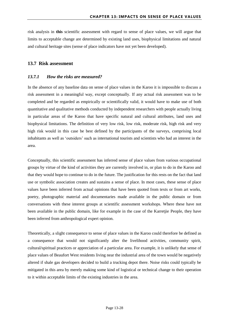risk analysis in **this** scientific assessment with regard to sense of place values, we will argue that limits to acceptable change are determined by existing land uses, biophysical limitations and natural and cultural heritage sites (sense of place indicators have not yet been developed).

#### <span id="page-28-0"></span>**13.7 Risk assessment**

#### <span id="page-28-1"></span>*13.7.1 How the risks are measured?*

In the absence of any baseline data on sense of place values in the Karoo it is impossible to discuss a risk assessment in a meaningful way, except conceptually. If any actual risk assessment was to be completed and be regarded as empirically or scientifically valid, it would have to make use of both quantitative and qualitative methods conducted by independent researchers with people actually living in particular areas of the Karoo that have specific natural and cultural attributes, land uses and biophysical limitations. The definition of very low risk, low risk, moderate risk, high risk and very high risk would in this case be best defined by the participants of the surveys, comprising local inhabitants as well as 'outsiders' such as international tourists and scientists who had an interest in the area.

Conceptually, this scientific assessment has inferred sense of place values from various occupational groups by virtue of the kind of activities they are currently involved in, or plan to do in the Karoo and that they would hope to continue to do in the future. The justification for this rests on the fact that land use or symbolic association creates and sustains a sense of place. In most cases, these sense of place values have been inferred from actual opinions that have been quoted from texts or from art works, poetry, photographic material and documentaries made available in the public domain or from conversations with these interest groups at scientific assessment workshops. Where these have not been available in the public domain, like for example in the case of the Karretjie People, they have been inferred from anthropological expert opinion.

Theoretically, a slight consequence to sense of place values in the Karoo could therefore be defined as a consequence that would not significantly alter the livelihood activities, community spirit, cultural/spiritual practices or appreciation of a particular area. For example, it is unlikely that sense of place values of Beaufort West residents living near the industrial area of the town would be negatively altered if shale gas developers decided to build a trucking depot there. Noise risks could typically be mitigated in this area by merely making some kind of logistical or technical change to their operation to it within acceptable limits of the existing industries in the area.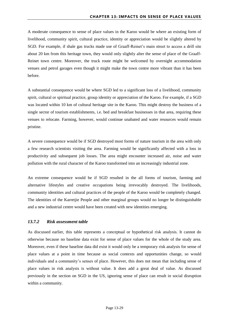A moderate consequence to sense of place values in the Karoo would be where an existing form of livelihood, community spirit, cultural practice, identity or appreciation would be slightly altered by SGD. For example, if shale gas trucks made use of Graaff-Reinet's main street to access a drill site about 20 km from this heritage town, they would only slightly alter the sense of place of the Graaff-Reinet town centre. Moreover, the truck route might be welcomed by overnight accommodation venues and petrol garages even though it might make the town centre more vibrant than it has been before.

A substantial consequence would be where SGD led to a significant loss of a livelihood, community spirit, cultural or spiritual practice, group identity or appreciation of the Karoo. For example, if a SGD was located within 10 km of cultural heritage site in the Karoo. This might destroy the business of a single sector of tourism establishments, i.e. bed and breakfast businesses in that area, requiring these venues to relocate. Farming, however, would continue unabated and water resources would remain pristine.

A severe consequence would be if SGD destroyed most forms of nature tourism in the area with only a few research scientists visiting the area. Farming would be significantly affected with a loss in productivity and subsequent job losses. The area might encounter increased air, noise and water pollution with the rural character of the Karoo transformed into an increasingly industrial zone.

An extreme consequence would be if SGD resulted in the all forms of tourism, farming and alternative lifestyles and creative occupations being irrevocably destroyed. The livelihoods, community identities and cultural practices of the people of the Karoo would be completely changed. The identities of the Karretjie People and other marginal groups would no longer be distinguishable and a new industrial centre would have been created with new identities emerging.

#### <span id="page-29-0"></span>*13.7.2 Risk assessment table*

As discussed earlier, this table represents a conceptual or hypothetical risk analysis. It cannot do otherwise because no baseline data exist for sense of place values for the whole of the study area. Moreover, even if these baseline data did exist it would only be a temporary risk analysis for sense of place values at a point in time because as social contexts and opportunities change, so would individuals and a community's senses of place. However, this does not mean that including sense of place values in risk analysis is without value. It does add a great deal of value. As discussed previously in the section on SGD in the US, ignoring sense of place can result in social disruption within a community.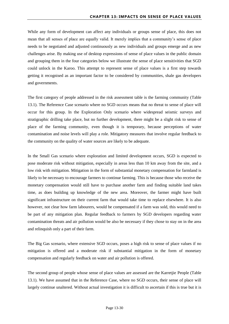While any form of development can affect any individuals or groups sense of place, this does not mean that all senses of place are equally valid. It merely implies that a community's sense of place needs to be negotiated and adjusted continuously as new individuals and groups emerge and as new challenges arise. By making use of desktop expressions of sense of place values in the public domain and grouping them in the four categories below we illustrate the sense of place sensitivities that SGD could unlock in the Karoo. This attempt to represent sense of place values is a first step towards getting it recognised as an important factor to be considered by communities, shale gas developers and governments.

The first category of people addressed in the risk assessment table is the farming community [\(Table](#page-32-1)  [13.1\)](#page-32-1). The Reference Case scenario where no SGD occurs means that no threat to sense of place will occur for this group. In the Exploration Only scenario where widespread seismic surveys and stratigraphic drilling take place, but no further development, there might be a slight risk to sense of place of the farming community, even though it is temporary, because perceptions of water contamination and noise levels will play a role. Mitigatory measures that involve regular feedback to the community on the quality of water sources are likely to be adequate.

In the Small Gas scenario where exploration and limited development occurs, SGD is expected to pose moderate risk without mitigation, especially in areas less than 10 km away from the site, and a low risk with mitigation. Mitigation in the form of substantial monetary compensation for farmland is likely to be necessary to encourage farmers to continue farming. This is because those who receive the monetary compensation would still have to purchase another farm and finding suitable land takes time, as does building up knowledge of the new area. Moreover, the farmer might have built significant infrastructure on their current farm that would take time to replace elsewhere. It is also however, not clear how farm labourers, would be compensated if a farm was sold, this would need to be part of any mitigation plan. Regular feedback to farmers by SGD developers regarding water contamination threats and air pollution would be also be necessary if they chose to stay on in the area and relinquish only a part of their farm.

The Big Gas scenario, where extensive SGD occurs, poses a high risk to sense of place values if no mitigation is offered and a moderate risk if substantial mitigation in the form of monetary compensation and regularly feedback on water and air pollution is offered.

The second group of people whose sense of place values are assessed are the Karretjie People [\(Table](#page-32-1)  [13.1\)](#page-32-1). We have assumed that in the Reference Case, where no SGD occurs, their sense of place will largely continue unaltered. Without actual investigation it is difficult to ascertain if this is true but it is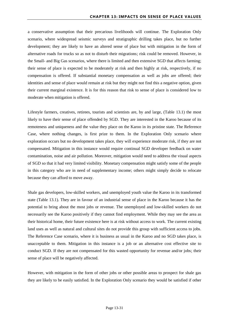a conservative assumption that their precarious livelihoods will continue. The Exploration Only scenario, where widespread seismic surveys and stratigraphic drilling takes place, but no further development; they are likely to have an altered sense of place but with mitigation in the form of alternative roads for trucks so as not to disturb their migrations; risk could be removed. However, in the Small- and Big Gas scenarios, where there is limited and then extensive SGD that affects farming; their sense of place is expected to be moderately at risk and then highly at risk, respectively, if no compensation is offered. If substantial monetary compensation as well as jobs are offered; their identities and sense of place would remain at risk but they might not find this a negative option, given their current marginal existence. It is for this reason that risk to sense of place is considered low to moderate when mitigation is offered.

Lifestyle farmers, creatives, retirees, tourists and scientists are, by and large, [\(Table 13.1\)](#page-32-1) the most likely to have their sense of place offended by SGD. They are interested in the Karoo because of its remoteness and uniqueness and the value they place on the Karoo in its pristine state. The Reference Case, where nothing changes, is first prize to them. In the Exploration Only scenario where exploration occurs but no development takes place, they will experience moderate risk, if they are not compensated. Mitigation in this instance would require continual SGD developer feedback on water contamination, noise and air pollution. Moreover, mitigation would need to address the visual aspects of SGD so that it had very limited visibility. Monetary compensation might satisfy some of the people in this category who are in need of supplementary income; others might simply decide to relocate because they can afford to move away.

Shale gas developers, low-skilled workers, and unemployed youth value the Karoo in its transformed state [\(Table 13.1\)](#page-32-1). They are in favour of an industrial sense of place in the Karoo because it has the potential to bring about the most jobs or revenue. The unemployed and low-skilled workers do not necessarily see the Karoo positively if they cannot find employment. While they may see the area as their historical home, their future existence here is at risk without access to work. The current existing land uses as well as natural and cultural sites do not provide this group with sufficient access to jobs. The Reference Case scenario, where it is business as usual in the Karoo and no SGD takes place, is unacceptable to them. Mitigation in this instance is a job or an alternative cost effective site to conduct SGD. If they are not compensated for this wasted opportunity for revenue and/or jobs; their sense of place will be negatively affected.

However, with mitigation in the form of other jobs or other possible areas to prospect for shale gas they are likely to be easily satisfied. In the Exploration Only scenario they would be satisfied if other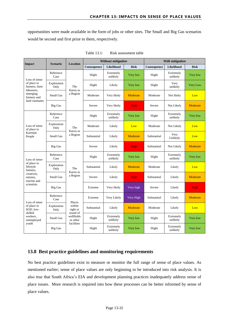<span id="page-32-1"></span>opportunities were made available in the form of jobs or other sites. The Small and Big Gas scenarios would be second and first prize to them, respectively.

| Impact                                                                                                         | <b>Scenario</b>     | <b>Location</b>                                                                  | Without mitigation |                       |             | With mitigation |                       |                 |
|----------------------------------------------------------------------------------------------------------------|---------------------|----------------------------------------------------------------------------------|--------------------|-----------------------|-------------|-----------------|-----------------------|-----------------|
|                                                                                                                |                     |                                                                                  | Consequence        | <b>Likelihood</b>     | <b>Risk</b> | Consequence     | Likelihood            | <b>Risk</b>     |
| Loss of sense<br>of place to<br>farmers, farm<br>labourers,<br>emerging<br>farmers and<br>land claimants       | Reference<br>Case   | The<br>Karoo as<br>a Region                                                      | Slight             | Extremely<br>unlikely | Very low    | Slight          | Extremely<br>unlikely | Very low        |
|                                                                                                                | Exploration<br>Only |                                                                                  | Slight             | Likely                | Very low    | Slight          | Very<br>unlikely      | <b>Very Low</b> |
|                                                                                                                | Small Gas           |                                                                                  | Moderate           | Very likely           | Moderate    | Moderate        | Not likely            | Low             |
|                                                                                                                | Big Gas             |                                                                                  | Severe             | Very likely           | High        | Severe          | Not Likely            | Moderate        |
| Loss of sense<br>of place to<br>Karretjie<br>People                                                            | Reference<br>Case   | The<br>Karoo as<br>a Region                                                      | Slight             | Extremely<br>unlikely | Very low    | Slight          | Extremely<br>unlikely | Very low        |
|                                                                                                                | Exploration<br>Only |                                                                                  | Moderate           | Likely                | Low         | Moderate        | Not Likely            | Low             |
|                                                                                                                | Small Gas           |                                                                                  | Substantial        | Likely                | Moderate    | Substantial     | Very<br>Unlikely      | Low             |
|                                                                                                                | <b>Big Gas</b>      |                                                                                  | Severe             | Likely                | High        | Substantial     | Not Likely            | Moderate        |
| Loss of sense<br>of place to<br>lifestyle<br>farmers.<br>creatives,<br>retirees.<br>tourists and<br>scientists | Reference<br>Case   | The<br>Karoo as<br>a Region                                                      | Slight             | Extremely<br>unlikely | Very low    | Slight          | Extremely<br>unlikely | Very low        |
|                                                                                                                | Exploration<br>Only |                                                                                  | Substantial        | Likely                | Moderate    | Moderate        | Likely                | Low             |
|                                                                                                                | Small Gas           |                                                                                  | Severe             | Likely                | High        | Substantial     | Likely                | Moderate        |
|                                                                                                                | <b>Big Gas</b>      |                                                                                  | Extreme            | Very likely           | Very high   | Severe          | Likely                | High            |
| Loss of sense<br>of place to<br>SGD, low-<br>skilled<br>workers.<br>unemployed<br>youth                        | Reference<br>Case   | Places<br>within<br>sight or<br>sound of<br>wellfields<br>or other<br>facilities | Extreme            | Very Likely           | Very High   | Substantial     | Likely                | Moderate        |
|                                                                                                                | Exploration<br>Only |                                                                                  | Substantial        | Likely                | Moderate    | Moderate        | Likely                | Low             |
|                                                                                                                | Small Gas           |                                                                                  | Slight             | Extremely<br>unlikely | Very low    | Slight          | Extremely<br>unlikely | Very low        |
|                                                                                                                | Big Gas             |                                                                                  | Slight             | Extremely<br>unlikely | Very low    | Slight          | Extremely<br>unlikely | Very low        |

Table 13.1: Risk assessment table

#### <span id="page-32-0"></span>**13.8 Best practice guidelines and monitoring requirements**

No best practice guidelines exist to measure or monitor the full range of sense of place values. As mentioned earlier; sense of place values are only beginning to be introduced into risk analysis. It is also true that South Africa's EIA and development planning practices inadequately address sense of place issues. More research is required into how these processes can be better informed by sense of place values.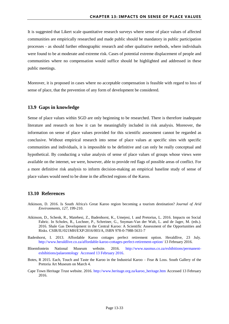It is suggested that Likert scale quantitative research surveys where sense of place values of affected communities are empirically researched and made public should be mandatory in public participation processes - as should further ethnographic research and other qualitative methods, where individuals were found to be at moderate and extreme risk. Cases of potential extreme displacement of people and communities where no compensation would suffice should be highlighted and addressed in these public meetings.

Moreover, it is proposed in cases where no acceptable compensation is feasible with regard to loss of sense of place, that the prevention of any form of development be considered.

#### <span id="page-33-0"></span>**13.9 Gaps in knowledge**

Sense of place values within SGD are only beginning to be researched. There is therefore inadequate literature and research on how it can be meaningfully included in risk analysis. Moreover, the information on sense of place values provided for this scientific assessment cannot be regarded as conclusive. Without empirical research into sense of place values at specific sites with specific communities and individuals, it is impossible to be definitive and can only be really conceptual and hypothetical. By conducting a value analysis of sense of place values of groups whose views were available on the internet, we were, however, able to provide red flags of possible areas of conflict. For a more definitive risk analysis to inform decision-making an empirical baseline study of sense of place values would need to be done in the affected regions of the Karoo.

#### <span id="page-33-1"></span>**13.10 References**

- Atkinson, D. 2016. Is South Africa's Great Karoo region becoming a tourism destination? *Journal of Arid Environments*, *127*, 199-210.
- Atkinson, D., Schenk, R., Matebesi, Z., Badenhorst, K., Umejesi, I. and Pretorius, L. 2016. Impacts on Social Fabric. In Scholes, R., Lochner, P., Schreiner, G., Snyman-Van der Walt, L. and de Jager, M. (eds.). 2016. Shale Gas Development in the Central Karoo: A Scientific Assessment of the Opportunities and Risks. CSIR/IU/021MH/EXP/2016/003/A, ISBN 978-0-7988-5631-7
- Badenhorst, I. 2013. Affordable Karoo cottages perfect retirement option. Heraldlive, 23 July. <http://www.heraldlive.co.za/affordable-karoo-cottages-perfect-retirement-option/> 13 February 2016.
- Bloemfontein National Museum website. 2016. [http://www.nasmus.co.za/exhibitions/permanent](http://www.nasmus.co.za/exhibitions/permanent-exhibitions/palaeontology%20%20Accessed%2013%20February%202016)[exhibitions/palaeontology Accessed 13 February 2016.](http://www.nasmus.co.za/exhibitions/permanent-exhibitions/palaeontology%20%20Accessed%2013%20February%202016)
- Botes, R 2015. Each, Touch and Taste the Karoo in the Industrial Karoo Fear & Loss. South Gallery of the Pretoria Art Museum on March 4.
- Cape Town Heritage Trust website. 2016. [http://www.heritage.org.za/karoo\\_heritage.htm](http://www.heritage.org.za/karoo_heritage.htm) Accessed 13 February 2016.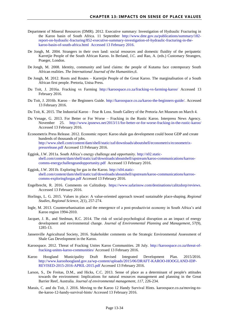- Department of Mineral Resources (DMR). 2012. Executive summary: Investigation of Hydraulic Fracturing in the Karoo basin of South Africa. 11 September [http://www.dmr.gov.za/publications/summary/182](http://www.dmr.gov.za/publications/summary/182-report-on-hydraulic-fracturing/852-executive-summary-investigation-of-hydraulic-fracturing-in-the-karoo-basin-of-south-africa.html %20Accessed%2013%20February%202016) [report-on-hydraulic-fracturing/852-executive-summary-investigation-of-hydraulic-fracturing-in-the](http://www.dmr.gov.za/publications/summary/182-report-on-hydraulic-fracturing/852-executive-summary-investigation-of-hydraulic-fracturing-in-the-karoo-basin-of-south-africa.html %20Accessed%2013%20February%202016)[karoo-basin-of-south-africa.html](http://www.dmr.gov.za/publications/summary/182-report-on-hydraulic-fracturing/852-executive-summary-investigation-of-hydraulic-fracturing-in-the-karoo-basin-of-south-africa.html %20Accessed%2013%20February%202016) Accessed 13 February 2016.
- De Jongh, M. 2004. Strangers in their own land: social resources and domestic fluidity of the peripatetic Karretjie People of the South African Karoo. In Berland, J.C. and Rao, A. (eds.) Customary Strangers, Praeger, London.
- De Jongh, M. 2008. Identity, community and land claims: the people of Kutama face cotemporary South African realities. *The International Journal of the Humanities,6*.
- De Jongh, M. 2012. Roots and Routes Karretjie People of the Great Karoo. The marginalisation of a South African first people. Pretoria, Unisa Press.
- Du Toit, J. 2016a. Fracking vs Farming <http://karoospace.co.za/fracking-vs-farming-karoo/> Accessed 13 February 2016.
- Du Toit, J. 2016b. Karoo the Beginners Guide. [http://karoospace.co.za/karoo-the-beginners-guide/.](http://karoospace.co.za/karoo-the-beginners-guide/) Accessed 13 February 2016.
- Du Toit, K. 2015. The Industrial Karoo Fear & Loss. South Gallery of the Pretoria Art Museum on March 4.
- Du Venage, G. 2013. For Better or For Worse Fracking in the Rustic Karoo. Interpress News Agency. November 25. <http://www.ipsnews.net/2013/11/for-better-or-for-worse-fracking-in-the-rustic-karoo/> Accessed 13 February 2016.
- Econometrix Press Release. 2012. Economic report: Karoo shale gas development could boost GDP and create hundreds of thousands of jobs. [http://www.shell.com/content/dam/shell/static/zaf/downloads/aboutshell/econometrix/econometrix](http://www.shell.com/content/dam/shell/static/zaf/downloads/aboutshell/econometrix/econometrix-pressrelease.pdf)[pressrelease.pdf](http://www.shell.com/content/dam/shell/static/zaf/downloads/aboutshell/econometrix/econometrix-pressrelease.pdf) Accessed 13 February 2016.
- Eggink, J.W. 2011a. South Africa's energy challenge and opportunity. [http://s02.static](http://s02.static-shell.com/content/dam/shell/static/zaf/downloads/aboutshell/upstream/karoo-communications/karroo-comms-energychallengeandopportunity.pdf)[shell.com/content/dam/shell/static/zaf/downloads/aboutshell/upstream/karoo-communications/karroo](http://s02.static-shell.com/content/dam/shell/static/zaf/downloads/aboutshell/upstream/karoo-communications/karroo-comms-energychallengeandopportunity.pdf)[comms-energychallengeandopportunity.pdf](http://s02.static-shell.com/content/dam/shell/static/zaf/downloads/aboutshell/upstream/karoo-communications/karroo-comms-energychallengeandopportunity.pdf) Accessed 13 February 2016.
- Eggink, J.W. 2011b. Exploring for gas in the Karoo. [http://s04.static](http://s04.static-shell.com/content/dam/shell/static/zaf/downloads/aboutshell/upstream/karoo-communications/karroo-comms-exploringforgas.pdf)[shell.com/content/dam/shell/static/zaf/downloads/aboutshell/upstream/karoo-communications/karroo](http://s04.static-shell.com/content/dam/shell/static/zaf/downloads/aboutshell/upstream/karoo-communications/karroo-comms-exploringforgas.pdf)[comms-exploringforgas.pdf](http://s04.static-shell.com/content/dam/shell/static/zaf/downloads/aboutshell/upstream/karoo-communications/karroo-comms-exploringforgas.pdf) Accessed 13 February 2016.
- Engelbrecht, R. 2016. Comments on Calitzdorp. [https://www.safarinow.com/destinations/calitzdorp/reviews.](https://www.safarinow.com/destinations/calitzdorp/reviews) Accessed 13 February 2016.
- Horlings, L. G. 2015. Values in place: A value-oriented approach toward sustainable place-shaping. *Regional Studies, Regional Science*, *2*(1), 257-274.
- Ingle, M. 2013. Counterurbanisation and the emergence of a post-productivist economy in South Africa's arid Karoo region 1994-2010.
- Jacquet, J. B., and Stedman, R.C. 2014. The risk of social-psychological disruption as an impact of energy development and environmental change. *Journal of Environmental Planning and Management*, *57*(9), 1285-13.
- Jansenville Agricultural Society, 2016. Stakeholder comments on the Strategic Environmental Assessment of Shale Gas Development in the Karoo.
- Karoospace. 2012. Threat of Fracking Unites Karoo Communities. 28 July. [http://karoospace.co.za/threat-of](http://karoospace.co.za/threat-of-fracking-unites-karoo-communities/)[fracking-unites-karoo-communities/](http://karoospace.co.za/threat-of-fracking-unites-karoo-communities/) Accessed 13 February 2016.
- Karoo Hoogland Municipality Draft Revised Integrated Development Plan. 2015/2016. [http://www.karoohoogland.gov.za/wp-content/uploads/2015/06/DRAFT-KAROO-HOOGLAND-IDP-](http://www.karoohoogland.gov.za/wp-content/uploads/2015/06/DRAFT-KAROO-HOOGLAND-IDP-REVISED-2015-2016-APRIL-2015.pdf)[REVISED-2015-2016-APRIL-2015.pdf](http://www.karoohoogland.gov.za/wp-content/uploads/2015/06/DRAFT-KAROO-HOOGLAND-IDP-REVISED-2015-2016-APRIL-2015.pdf) Accessed 13 February 2016.
- Larson, S., De Freitas, D.M., and Hicks, C.C. 2013. Sense of place as a determinant of people's attitudes towards the environment: Implications for natural resources management and planning in the Great Barrier Reef, Australia. *Journal of environmental management*, *117*, 226-234.
- Marais, C. and du Toit, J. 2016. Moving to the Karoo 12 Handy Survival Hints. karoospace.co.za/moving-tothe-karoo-12-handy-survival-hints/ Accessed 13 February 2016.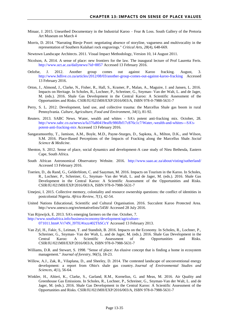- Minaar, J. 2015. Unearthed Documentary in the Industrial Karoo Fear & Loss. South Gallery of the Pretoria Art Museum on March 4
- Morris, D. 2014. "Narrating Biesje Poort: negotiating absence of storyline, vagueness and multivocality in the representation of Southern Kalahari rock engravings." *Critical Arts, 28*(4), 648-669.

Newtown Landscape Architects. 2011. Visual Impact Methodology, Version 10, 14 August 2011.

- Nicolson, A. 2014. A sense of place: new frontiers for the law. The inaugural lecture of Prof Lauretta Feris. <http://www.uct.ac.za/dailynews/?id=8857> Accessed 13 February 2016.
- Oelofse, J. 2012. Another group comes out against Karoo fracking. August, 3. <http://www.bdlive.co.za/articles/2012/08/03/another-group-comes-out-against-karoo-fracking> Accessed 13 February 2016.
- Orton, J., Almond, J., Clarke, N., Fisher, R., Hall, S., Kramer, P., Malan, A., Maguire, J. and Jansen, L. 2016. Impacts on Heritage. In Scholes, R., Lochner, P., Schreiner, G., Snyman- Van der Walt, L. and de Jager, M. (eds.). 2016. Shale Gas Development in the Central Karoo: A Scientific Assessment of the Opportunities and Risks. CSIR/IU/021MH/EXP/2016/003/A, ISBN 978-0-7988-5631-7
- Perry, S. L. 2012. Development, land use, and collective trauma: the Marcellus Shale gas boom in rural Pennsylvania. *Culture, Agriculture, Food and Environment*, *34*(1), 81-92.
- Reuters. 2013. SABC News. Water, wealth and whites SA's potent anti-fracking mix. October, 28. [http://www.sabc.co.za/news/a/fa37fa80419eaffc986fbf17c876c1c7/Water,-wealth-and-whites---SA's](http://www.sabc.co.za/news/a/fa37fa80419eaffc986fbf17c876c1c7/Water,-wealth-and-whites---SA)[potent-anti-fracking-mix](http://www.sabc.co.za/news/a/fa37fa80419eaffc986fbf17c876c1c7/Water,-wealth-and-whites---SA) Accessed 13 February 2016.
- Sangaramoorthy, T., Jamison, A.M., Boyle, M.D., Payne-Sturges, D., Sapkota, A., Milton, D.K., and Wilson, S.M. 2016. Place-Based Perceptions of the Impacts of Fracking along the Marcellus Shale. *Social Science & Medicine*.
- Shenton, S. 2012. Sense of place, social dynamics and development-A case study of Nieu Bethesda, Eastern Cape, South Africa.
- South African Astronomical Observatory Website. 2016. <http://www.saao.ac.za/about/visting/sutherland/> Accessed 13 February 2016.
- Toerien, D., du Rand, G., Gelderblom, C. and Saayman, M. 2016. Impacts on Tourism in the Karoo. In Scholes, R., Lochner, P., Schreiner, G., Snyman- Van der Walt, L. and de Jager, M. (eds.). 2016. Shale Gas Development in the Central Karoo: A Scientific Assessment of the Opportunities and Risks. CSIR/IU/021MH/EXP/2016/003/A, ISBN 978-0-7988-5631-7
- Umejesi, I. 2015. Collective memory, coloniality and resource ownership questions: the conflict of identities in postcolonial Nigeria. *Africa Review*, *7*(1), 42-54.
- United Nations Educational, Scientific and Cultural Organisation. 2016. Succulent Karoo Protected Area. http://www.unesco.org/en/tentativelists/5458/ Accessed 28 July 2016.

Van Rijswijck, E. 2013. SA's emerging farmers on the rise. October, 7. [http://www.southafrica.info/business/economy/development/agriculture-](http://www.southafrica.info/business/economy/development/agriculture-071011.htm#.Vr74N_l97IU#ixzz402ThSCcY)[071011.htm#.Vr74N\\_l97IU#ixzz402ThSCcY](http://www.southafrica.info/business/economy/development/agriculture-071011.htm#.Vr74N_l97IU#ixzz402ThSCcY) Accessed 13 February 2013.

- Van Zyl, H., Fakir, S., Leiman, T. and Standish, B. 2016. Impacts on the Economy. In Scholes, R., Lochner, P., Schreiner, G., Snyman- Van der Walt, L. and de Jager, M. (eds.). 2016. Shale Gas Development in the Central Karoo: A Scientific Assessment of the Opportunities and Risks. CSIR/IU/021MH/EXP/2016/003/A, ISBN 978-0-7988-5631-7
- Williams, D.R. and Stewart, S. 1998. "Sense of place: An elusive concept that is finding a home in ecosystem management." *Journal of forestry, 96*(5), 18-23.
- Willow, A.J., Zak, R., Vilaplana, D., and Sheeley, D. 2014. The contested landscape of unconventional energy development: a report from Ohio's shale gas country. *Journal of Environmental Studies and Sciences*, *4*(1), 56-64.
- Winkler, H., Altieri, K., Clarke, S., Garland, R.M., Kornelius, G. and Meas, M. 2016. Air Quality and Greenhouse Gas Emissions. In Scholes, R., Lochner, P., Schreiner, G., Snyman-Van der Walt, L. and de Jager, M. (eds.). 2016. Shale Gas Development in the Central Karoo: A Scientific Assessment of the Opportunities and Risks. CSIR/IU/021MH/EXP/2016/003/A, ISBN 978-0-7988-5631-7